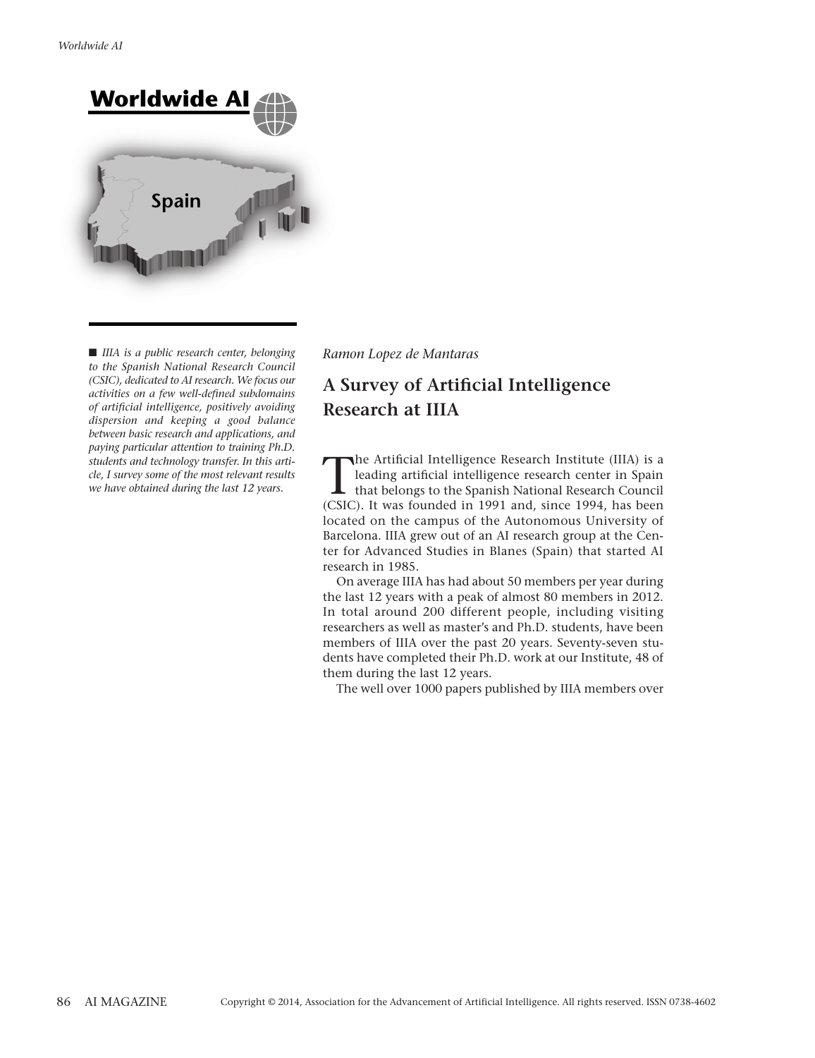

■ *IIIA is a public research center, belonging to the Spanish National Research Council (CSIC), dedicated to AI research. We focus our activities on a few well-defined subdomains of artificial intelligence, positively avoiding dispersion and keeping a good balance between basic research and applications, and paying particular attention to training Ph.D. students and technology transfer. In this article, I survey some of the most relevant results we have obtained during the last 12 years.*

*Ramon Lopez de Mantaras*

# **A Survey of Artificial Intelligence Research at IIIA**

The Artificial Intelligence Research Institute (IIIA) is a<br>leading artificial intelligence research center in Spain<br>that belongs to the Spanish National Research Council<br>(CSIC) It was founded in 1991 and since 1994, has be leading artificial intelligence research center in Spain that belongs to the Spanish National Research Council (CSIC). It was founded in 1991 and, since 1994, has been located on the campus of the Autonomous University of Barcelona. IIIA grew out of an AI research group at the Center for Advanced Studies in Blanes (Spain) that started AI research in 1985.

On average IIIA has had about 50 members per year during the last 12 years with a peak of almost 80 members in 2012. In total around 200 different people, including visiting researchers as well as master's and Ph.D. students, have been members of IIIA over the past 20 years. Seventy-seven students have completed their Ph.D. work at our Institute, 48 of them during the last 12 years.

The well over 1000 papers published by IIIA members over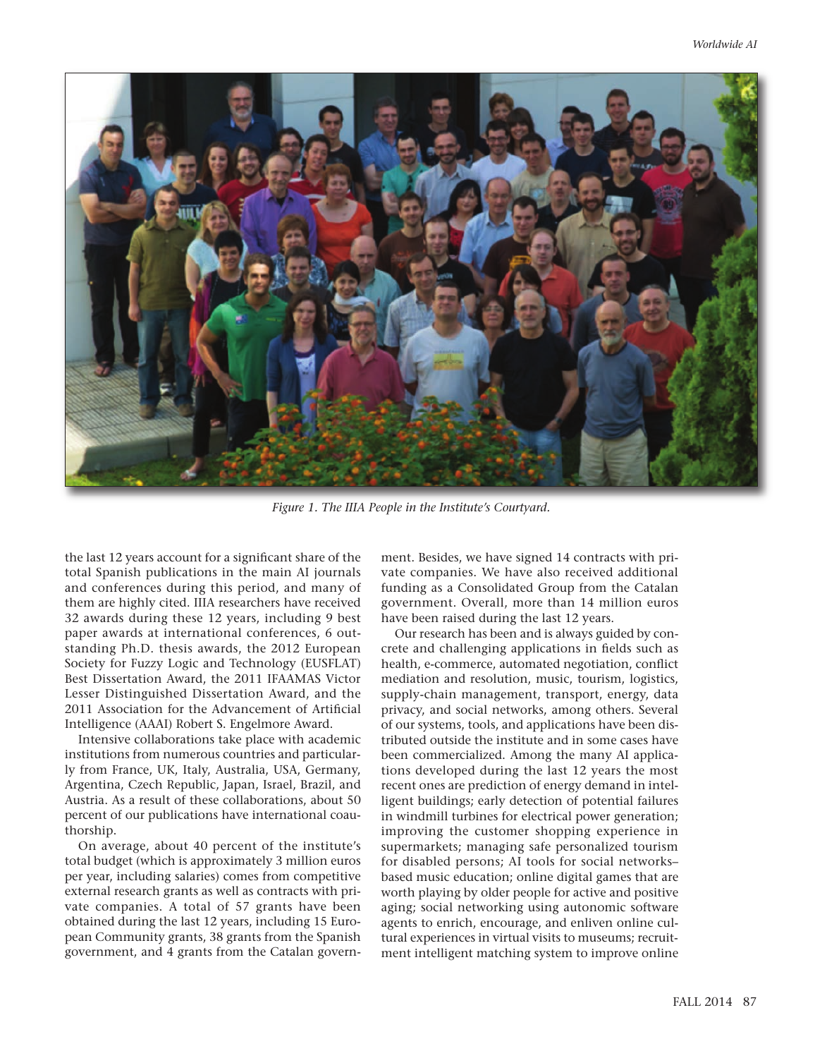

*Figure 1. The IIIA People in the Institute's Courtyard.*

the last 12 years account for a significant share of the total Spanish publications in the main AI journals and conferences during this period, and many of them are highly cited. IIIA researchers have received 32 awards during these 12 years, including 9 best paper awards at international conferences, 6 outstanding Ph.D. thesis awards, the 2012 European Society for Fuzzy Logic and Technology (EUSFLAT) Best Dissertation Award, the 2011 IFAAMAS Victor Lesser Distinguished Dissertation Award, and the 2011 Association for the Advancement of Artificial Intelligence (AAAI) Robert S. Engelmore Award.

Intensive collaborations take place with academic institutions from numerous countries and particularly from France, UK, Italy, Australia, USA, Germany, Argentina, Czech Republic, Japan, Israel, Brazil, and Austria. As a result of these collaborations, about 50 percent of our publications have international coauthorship.

On average, about 40 percent of the institute's total budget (which is approximately 3 million euros per year, including salaries) comes from competitive external research grants as well as contracts with private companies. A total of 57 grants have been obtained during the last 12 years, including 15 European Community grants, 38 grants from the Spanish government, and 4 grants from the Catalan government. Besides, we have signed 14 contracts with private companies. We have also received additional funding as a Consolidated Group from the Catalan government. Overall, more than 14 million euros have been raised during the last 12 years.

Our research has been and is always guided by concrete and challenging applications in fields such as health, e-commerce, automated negotiation, conflict mediation and resolution, music, tourism, logistics, supply-chain management, transport, energy, data privacy, and social networks, among others. Several of our systems, tools, and applications have been distributed outside the institute and in some cases have been commercialized. Among the many AI applications developed during the last 12 years the most recent ones are prediction of energy demand in intelligent buildings; early detection of potential failures in windmill turbines for electrical power generation; improving the customer shopping experience in supermarkets; managing safe personalized tourism for disabled persons; AI tools for social networks– based music education; online digital games that are worth playing by older people for active and positive aging; social networking using autonomic software agents to enrich, encourage, and enliven online cultural experiences in virtual visits to museums; recruitment intelligent matching system to improve online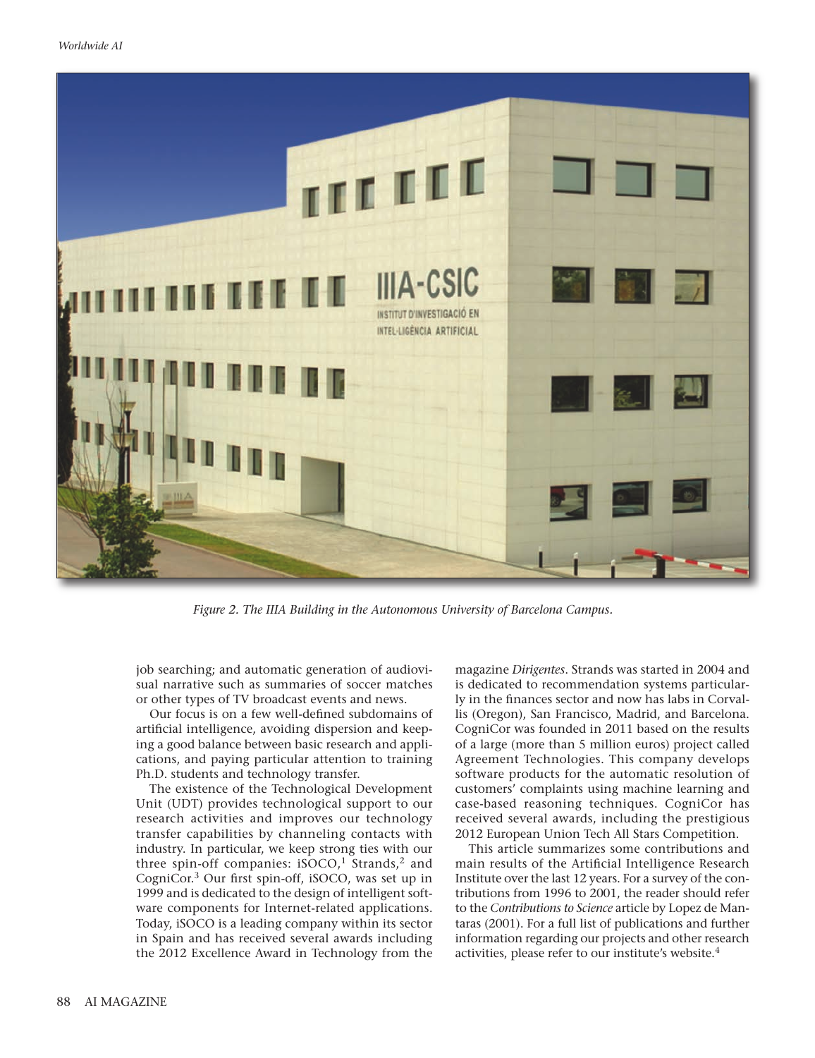

*Figure 2. The IIIA Building in the Autonomous University of Barcelona Campus.*

job searching; and automatic generation of audiovisual narrative such as summaries of soccer matches or other types of TV broadcast events and news.

Our focus is on a few well-defined subdomains of artificial intelligence, avoiding dispersion and keeping a good balance between basic research and applications, and paying particular attention to training Ph.D. students and technology transfer.

The existence of the Technological Development Unit (UDT) provides technological support to our research activities and improves our technology transfer capabilities by channeling contacts with industry. In particular, we keep strong ties with our three spin-off companies:  $iSOCO<sup>1</sup>$  Strands,<sup>2</sup> and CogniCor.<sup>3</sup> Our first spin-off, iSOCO, was set up in 1999 and is dedicated to the design of intelligent software components for Internet-related applications. Today, iSOCO is a leading company within its sector in Spain and has received several awards including the 2012 Excellence Award in Technology from the magazine *Dirigentes*. Strands was started in 2004 and is dedicated to recommendation systems particularly in the finances sector and now has labs in Corvallis (Oregon), San Francisco, Madrid, and Barcelona. CogniCor was founded in 2011 based on the results of a large (more than 5 million euros) project called Agreement Technologies. This company develops software products for the automatic resolution of customers' complaints using machine learning and case-based reasoning techniques. CogniCor has received several awards, including the prestigious 2012 European Union Tech All Stars Competition.

This article summarizes some contributions and main results of the Artificial Intelligence Research Institute over the last 12 years. For a survey of the contributions from 1996 to 2001, the reader should refer to the *Contributions to Science* article by Lopez de Mantaras (2001). For a full list of publications and further information regarding our projects and other research activities, please refer to our institute's website.4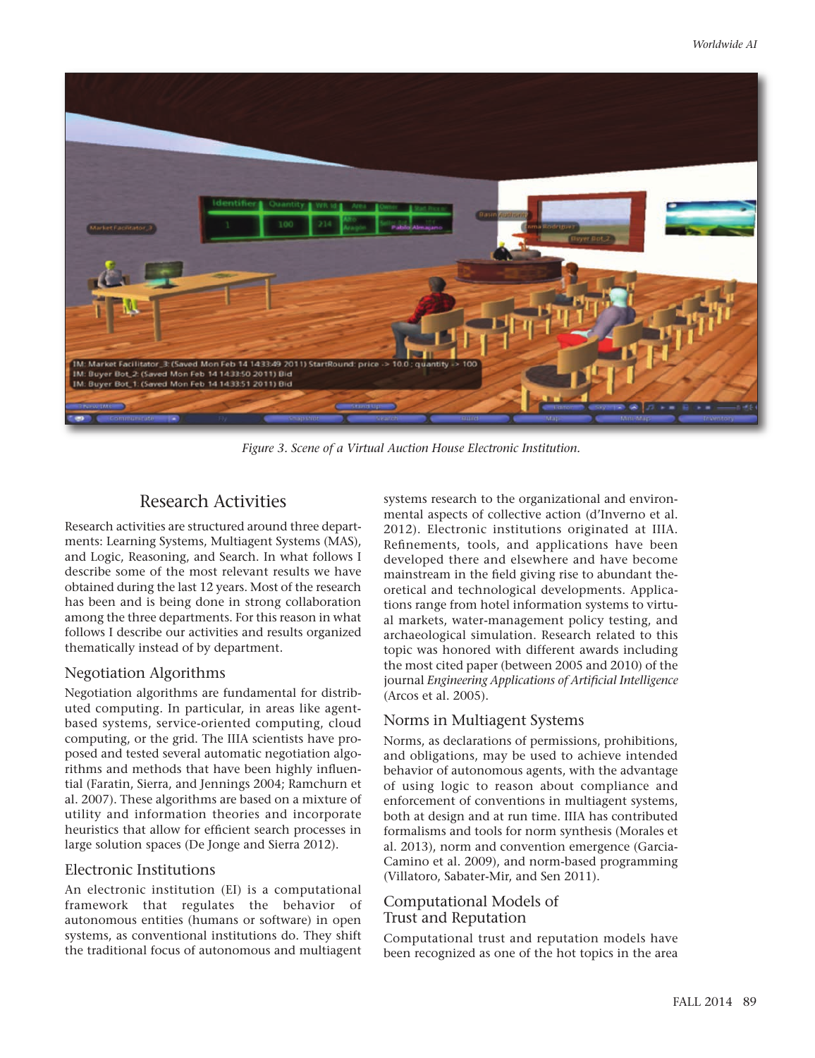

*Figure 3. Scene of a Virtual Auction House Electronic Institution.*

## Research Activities

Research activities are structured around three departments: Learning Systems, Multiagent Systems (MAS), and Logic, Reasoning, and Search. In what follows I describe some of the most relevant results we have obtained during the last 12 years. Most of the research has been and is being done in strong collaboration among the three departments. For this reason in what follows I describe our activities and results organized thematically instead of by department.

#### Negotiation Algorithms

Negotiation algorithms are fundamental for distributed computing. In particular, in areas like agentbased systems, service-oriented computing, cloud computing, or the grid. The IIIA scientists have proposed and tested several automatic negotiation algorithms and methods that have been highly influential (Faratin, Sierra, and Jennings 2004; Ramchurn et al. 2007). These algorithms are based on a mixture of utility and information theories and incorporate heuristics that allow for efficient search processes in large solution spaces (De Jonge and Sierra 2012).

#### Electronic Institutions

An electronic institution (EI) is a computational framework that regulates the behavior of autonomous entities (humans or software) in open systems, as conventional institutions do. They shift the traditional focus of autonomous and multiagent systems research to the organizational and environmental aspects of collective action (d'Inverno et al. 2012). Electronic institutions originated at IIIA. Refinements, tools, and applications have been developed there and elsewhere and have become mainstream in the field giving rise to abundant theoretical and technological developments. Applications range from hotel information systems to virtual markets, water-management policy testing, and archaeological simulation. Research related to this topic was honored with different awards including the most cited paper (between 2005 and 2010) of the journal *Engineering Applications of Artificial Intelligence* (Arcos et al. 2005).

#### Norms in Multiagent Systems

Norms, as declarations of permissions, prohibitions, and obligations, may be used to achieve intended behavior of autonomous agents, with the advantage of using logic to reason about compliance and enforcement of conventions in multiagent systems, both at design and at run time. IIIA has contributed formalisms and tools for norm synthesis (Morales et al. 2013), norm and convention emergence (Garcia-Camino et al. 2009), and norm-based programming (Villatoro, Sabater-Mir, and Sen 2011).

### Computational Models of Trust and Reputation

Computational trust and reputation models have been recognized as one of the hot topics in the area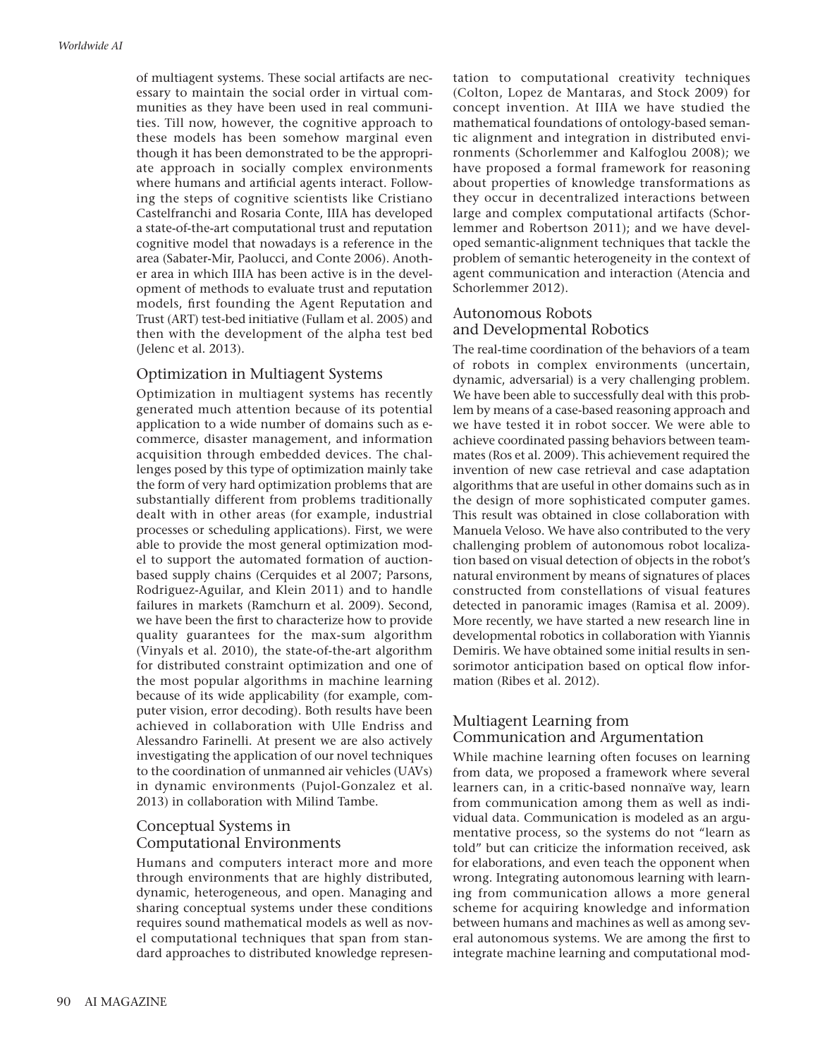of multiagent systems. These social artifacts are necessary to maintain the social order in virtual communities as they have been used in real communities. Till now, however, the cognitive approach to these models has been somehow marginal even though it has been demonstrated to be the appropriate approach in socially complex environments where humans and artificial agents interact. Following the steps of cognitive scientists like Cristiano Castelfranchi and Rosaria Conte, IIIA has developed a state-of-the-art computational trust and reputation cognitive model that nowadays is a reference in the area (Sabater-Mir, Paolucci, and Conte 2006). Another area in which IIIA has been active is in the development of methods to evaluate trust and reputation models, first founding the Agent Reputation and Trust (ART) test-bed initiative (Fullam et al. 2005) and then with the development of the alpha test bed (Jelenc et al. 2013).

#### Optimization in Multiagent Systems

Optimization in multiagent systems has recently generated much attention because of its potential application to a wide number of domains such as ecommerce, disaster management, and information acquisition through embedded devices. The challenges posed by this type of optimization mainly take the form of very hard optimization problems that are substantially different from problems traditionally dealt with in other areas (for example, industrial processes or scheduling applications). First, we were able to provide the most general optimization model to support the automated formation of auctionbased supply chains (Cerquides et al 2007; Parsons, Rodriguez-Aguilar, and Klein 2011) and to handle failures in markets (Ramchurn et al. 2009). Second, we have been the first to characterize how to provide quality guarantees for the max-sum algorithm (Vinyals et al. 2010), the state-of-the-art algorithm for distributed constraint optimization and one of the most popular algorithms in machine learning because of its wide applicability (for example, computer vision, error decoding). Both results have been achieved in collaboration with Ulle Endriss and Alessandro Farinelli. At present we are also actively investigating the application of our novel techniques to the coordination of unmanned air vehicles (UAVs) in dynamic environments (Pujol-Gonzalez et al. 2013) in collaboration with Milind Tambe.

### Conceptual Systems in Computational Environments

Humans and computers interact more and more through environments that are highly distributed, dynamic, heterogeneous, and open. Managing and sharing conceptual systems under these conditions requires sound mathematical models as well as novel computational techniques that span from standard approaches to distributed knowledge representation to computational creativity techniques (Colton, Lopez de Mantaras, and Stock 2009) for concept invention. At IIIA we have studied the mathematical foundations of ontology-based semantic alignment and integration in distributed environments (Schorlemmer and Kalfoglou 2008); we have proposed a formal framework for reasoning about properties of knowledge transformations as they occur in decentralized interactions between large and complex computational artifacts (Schorlemmer and Robertson 2011); and we have developed semantic-alignment techniques that tackle the problem of semantic heterogeneity in the context of agent communication and interaction (Atencia and Schorlemmer 2012).

#### Autonomous Robots and Developmental Robotics

The real-time coordination of the behaviors of a team of robots in complex environments (uncertain, dynamic, adversarial) is a very challenging problem. We have been able to successfully deal with this problem by means of a case-based reasoning approach and we have tested it in robot soccer. We were able to achieve coordinated passing behaviors between teammates (Ros et al. 2009). This achievement required the invention of new case retrieval and case adaptation algorithms that are useful in other domains such as in the design of more sophisticated computer games. This result was obtained in close collaboration with Manuela Veloso. We have also contributed to the very challenging problem of autonomous robot localization based on visual detection of objects in the robot's natural environment by means of signatures of places constructed from constellations of visual features detected in panoramic images (Ramisa et al. 2009). More recently, we have started a new research line in developmental robotics in collaboration with Yiannis Demiris. We have obtained some initial results in sensorimotor anticipation based on optical flow information (Ribes et al. 2012).

### Multiagent Learning from Communication and Argumentation

While machine learning often focuses on learning from data, we proposed a framework where several learners can, in a critic-based nonnaïve way, learn from communication among them as well as individual data. Communication is modeled as an argumentative process, so the systems do not "learn as told" but can criticize the information received, ask for elaborations, and even teach the opponent when wrong. Integrating autonomous learning with learning from communication allows a more general scheme for acquiring knowledge and information between humans and machines as well as among several autonomous systems. We are among the first to integrate machine learning and computational mod-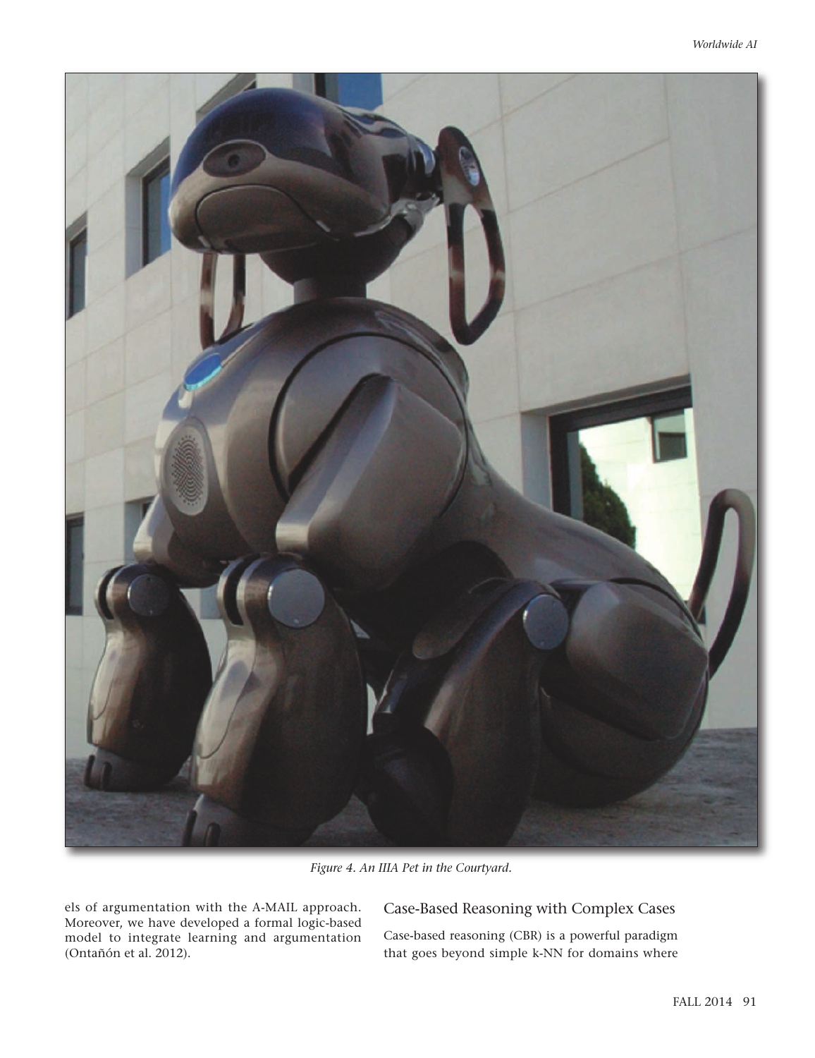

*Figure 4. An IIIA Pet in the Courtyard.*

els of argumentation with the A-MAIL approach. Moreover, we have developed a formal logic-based model to integrate learning and argumentation (Ontañón et al. 2012).

## Case-Based Reasoning with Complex Cases

Case-based reasoning (CBR) is a powerful paradigm that goes beyond simple k-NN for domains where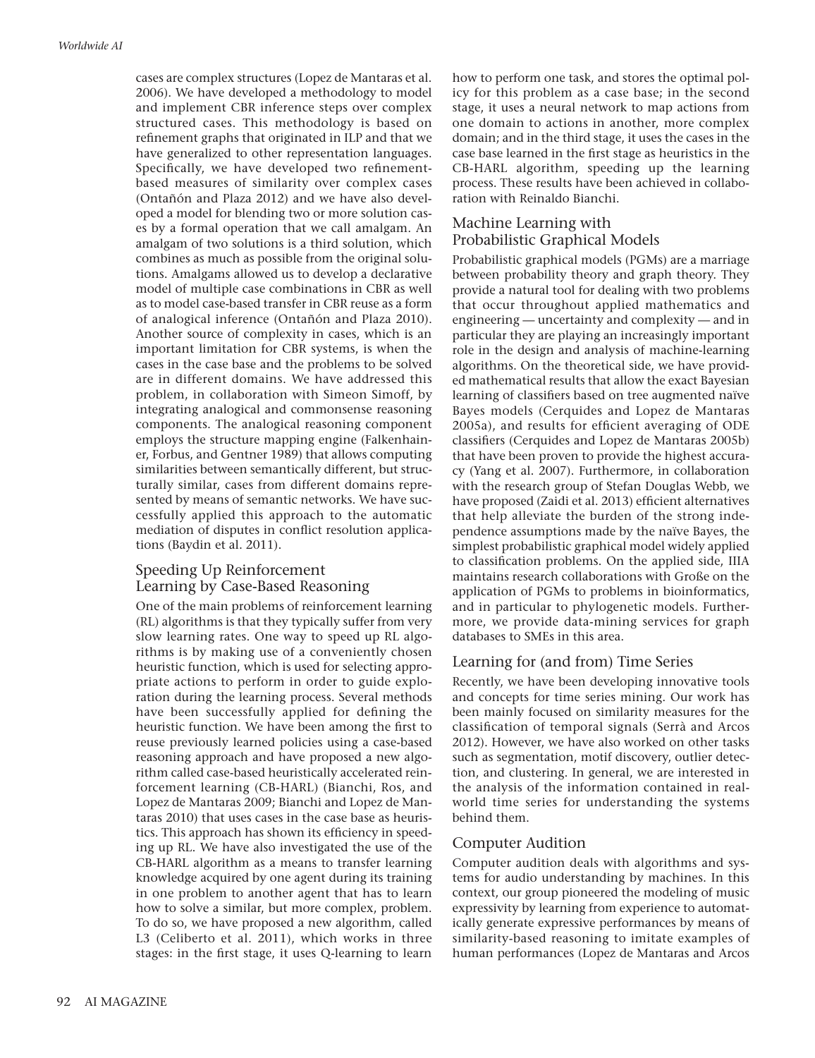cases are complex structures (Lopez de Mantaras et al. 2006). We have developed a methodology to model and implement CBR inference steps over complex structured cases. This methodology is based on refinement graphs that originated in ILP and that we have generalized to other representation languages. Specifically, we have developed two refinementbased measures of similarity over complex cases (Ontañón and Plaza 2012) and we have also developed a model for blending two or more solution cases by a formal operation that we call amalgam. An amalgam of two solutions is a third solution, which combines as much as possible from the original solutions. Amalgams allowed us to develop a declarative model of multiple case combinations in CBR as well as to model case-based transfer in CBR reuse as a form of analogical inference (Ontañón and Plaza 2010). Another source of complexity in cases, which is an important limitation for CBR systems, is when the cases in the case base and the problems to be solved are in different domains. We have addressed this problem, in collaboration with Simeon Simoff, by integrating analogical and commonsense reasoning components. The analogical reasoning component employs the structure mapping engine (Falkenhainer, Forbus, and Gentner 1989) that allows computing similarities between semantically different, but structurally similar, cases from different domains represented by means of semantic networks. We have successfully applied this approach to the automatic mediation of disputes in conflict resolution applications (Baydin et al. 2011).

## Speeding Up Reinforcement Learning by Case-Based Reasoning

One of the main problems of reinforcement learning (RL) algorithms is that they typically suffer from very slow learning rates. One way to speed up RL algorithms is by making use of a conveniently chosen heuristic function, which is used for selecting appropriate actions to perform in order to guide exploration during the learning process. Several methods have been successfully applied for defining the heuristic function. We have been among the first to reuse previously learned policies using a case-based reasoning approach and have proposed a new algorithm called case-based heuristically accelerated reinforcement learning (CB-HARL) (Bianchi, Ros, and Lopez de Mantaras 2009; Bianchi and Lopez de Mantaras 2010) that uses cases in the case base as heuristics. This approach has shown its efficiency in speeding up RL. We have also investigated the use of the CB-HARL algorithm as a means to transfer learning knowledge acquired by one agent during its training in one problem to another agent that has to learn how to solve a similar, but more complex, problem. To do so, we have proposed a new algorithm, called L3 (Celiberto et al. 2011), which works in three stages: in the first stage, it uses Q-learning to learn

how to perform one task, and stores the optimal policy for this problem as a case base; in the second stage, it uses a neural network to map actions from one domain to actions in another, more complex domain; and in the third stage, it uses the cases in the case base learned in the first stage as heuristics in the CB-HARL algorithm, speeding up the learning process. These results have been achieved in collaboration with Reinaldo Bianchi.

### Machine Learning with Probabilistic Graphical Models

Probabilistic graphical models (PGMs) are a marriage between probability theory and graph theory. They provide a natural tool for dealing with two problems that occur throughout applied mathematics and engineering — uncertainty and complexity — and in particular they are playing an increasingly important role in the design and analysis of machine-learning algorithms. On the theoretical side, we have provided mathematical results that allow the exact Bayesian learning of classifiers based on tree augmented naïve Bayes models (Cerquides and Lopez de Mantaras 2005a), and results for efficient averaging of ODE classifiers (Cerquides and Lopez de Mantaras 2005b) that have been proven to provide the highest accuracy (Yang et al. 2007). Furthermore, in collaboration with the research group of Stefan Douglas Webb, we have proposed (Zaidi et al. 2013) efficient alternatives that help alleviate the burden of the strong independence assumptions made by the naïve Bayes, the simplest probabilistic graphical model widely applied to classification problems. On the applied side, IIIA maintains research collaborations with Große on the application of PGMs to problems in bioinformatics, and in particular to phylogenetic models. Furthermore, we provide data-mining services for graph databases to SMEs in this area.

#### Learning for (and from) Time Series

Recently, we have been developing innovative tools and concepts for time series mining. Our work has been mainly focused on similarity measures for the classification of temporal signals (Serrà and Arcos 2012). However, we have also worked on other tasks such as segmentation, motif discovery, outlier detection, and clustering. In general, we are interested in the analysis of the information contained in realworld time series for understanding the systems behind them.

#### Computer Audition

Computer audition deals with algorithms and systems for audio understanding by machines. In this context, our group pioneered the modeling of music expressivity by learning from experience to automatically generate expressive performances by means of similarity-based reasoning to imitate examples of human performances (Lopez de Mantaras and Arcos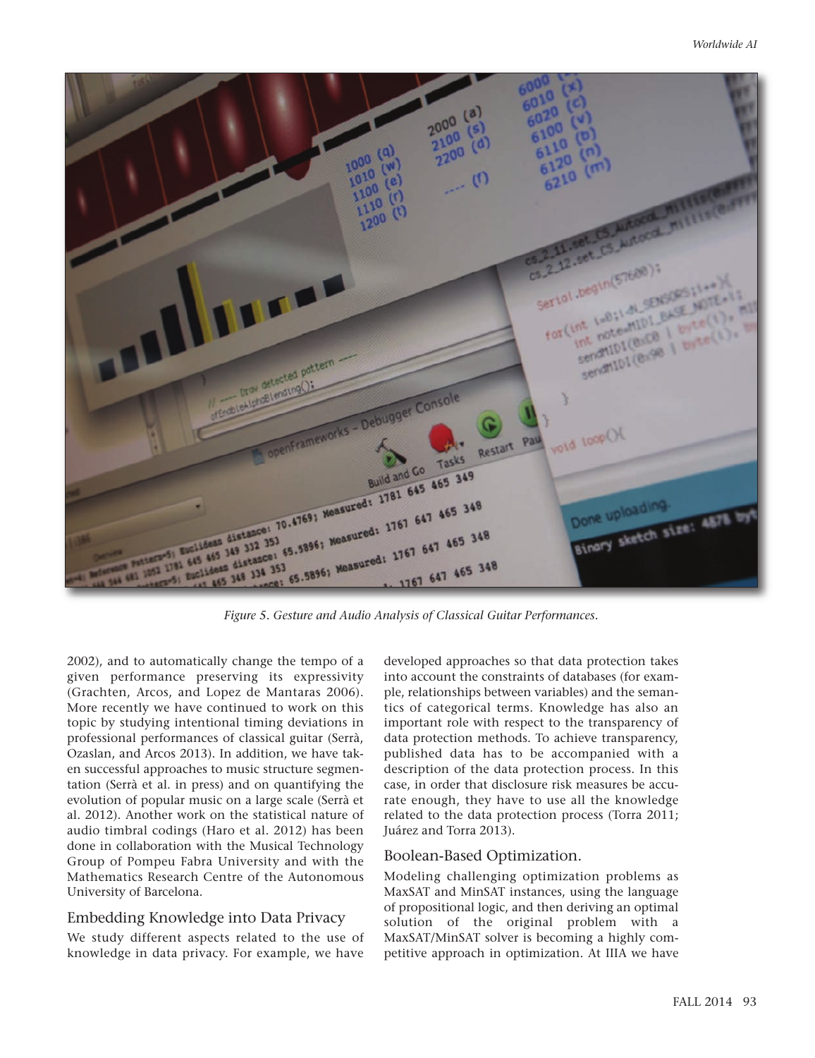

*Figure 5. Gesture and Audio Analysis of Classical Guitar Performances.*

2002), and to automatically change the tempo of a given performance preserving its expressivity (Grachten, Arcos, and Lopez de Mantaras 2006). More recently we have continued to work on this topic by studying intentional timing deviations in professional performances of classical guitar (Serrà, Ozaslan, and Arcos 2013). In addition, we have taken successful approaches to music structure segmentation (Serrà et al. in press) and on quantifying the evolution of popular music on a large scale (Serrà et al. 2012). Another work on the statistical nature of audio timbral codings (Haro et al. 2012) has been done in collaboration with the Musical Technology Group of Pompeu Fabra University and with the Mathematics Research Centre of the Autonomous University of Barcelona.

#### Embedding Knowledge into Data Privacy

We study different aspects related to the use of knowledge in data privacy. For example, we have developed approaches so that data protection takes into account the constraints of databases (for example, relationships between variables) and the semantics of categorical terms. Knowledge has also an important role with respect to the transparency of data protection methods. To achieve transparency, published data has to be accompanied with a description of the data protection process. In this case, in order that disclosure risk measures be accurate enough, they have to use all the knowledge related to the data protection process (Torra 2011; Juárez and Torra 2013).

#### Boolean-Based Optimization.

Modeling challenging optimization problems as MaxSAT and MinSAT instances, using the language of propositional logic, and then deriving an optimal solution of the original problem with a MaxSAT/MinSAT solver is becoming a highly competitive approach in optimization. At IIIA we have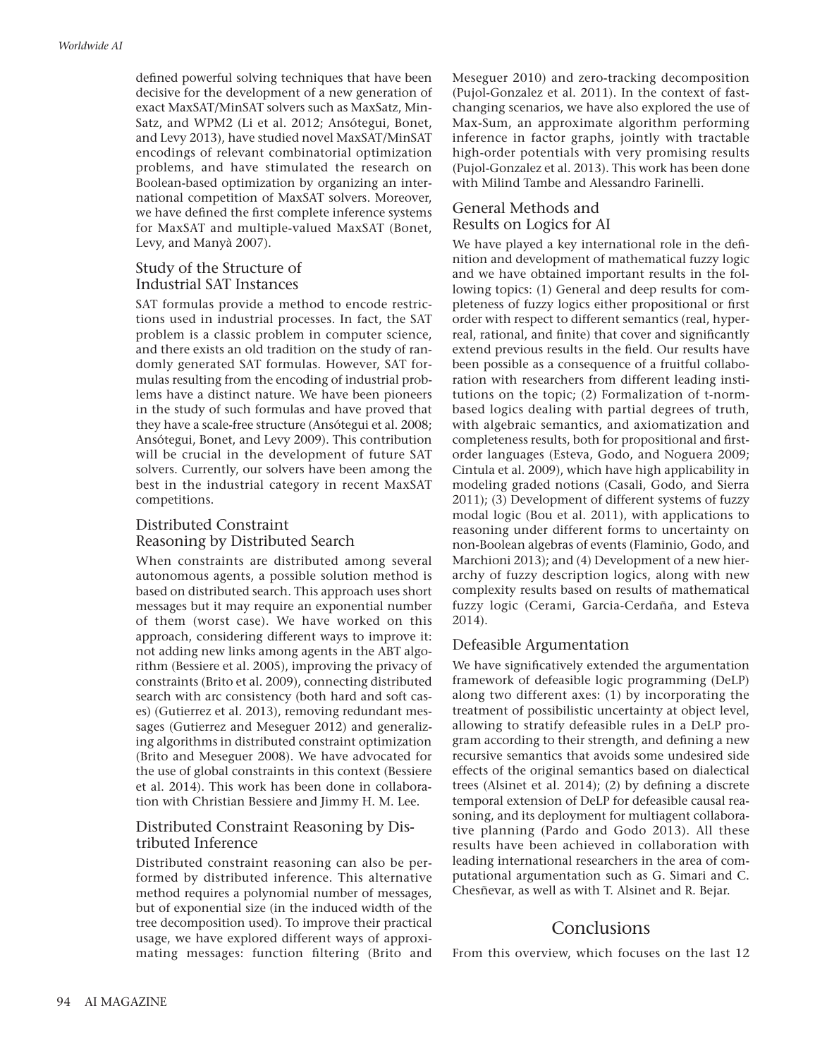defined powerful solving techniques that have been decisive for the development of a new generation of exact MaxSAT/MinSAT solvers such as MaxSatz, Min-Satz, and WPM2 (Li et al. 2012; Ansótegui, Bonet, and Levy 2013), have studied novel MaxSAT/MinSAT encodings of relevant combinatorial optimization problems, and have stimulated the research on Boolean-based optimization by organizing an international competition of MaxSAT solvers. Moreover, we have defined the first complete inference systems for MaxSAT and multiple-valued MaxSAT (Bonet, Levy, and Manyà 2007).

#### Study of the Structure of Industrial SAT Instances

SAT formulas provide a method to encode restrictions used in industrial processes. In fact, the SAT problem is a classic problem in computer science, and there exists an old tradition on the study of randomly generated SAT formulas. However, SAT formulas resulting from the encoding of industrial problems have a distinct nature. We have been pioneers in the study of such formulas and have proved that they have a scale-free structure (Ansótegui et al. 2008; Ansótegui, Bonet, and Levy 2009). This contribution will be crucial in the development of future SAT solvers. Currently, our solvers have been among the best in the industrial category in recent MaxSAT competitions.

#### Distributed Constraint Reasoning by Distributed Search

When constraints are distributed among several autonomous agents, a possible solution method is based on distributed search. This approach uses short messages but it may require an exponential number of them (worst case). We have worked on this approach, considering different ways to improve it: not adding new links among agents in the ABT algorithm (Bessiere et al. 2005), improving the privacy of constraints (Brito et al. 2009), connecting distributed search with arc consistency (both hard and soft cases) (Gutierrez et al. 2013), removing redundant messages (Gutierrez and Meseguer 2012) and generalizing algorithms in distributed constraint optimization (Brito and Meseguer 2008). We have advocated for the use of global constraints in this context (Bessiere et al. 2014). This work has been done in collaboration with Christian Bessiere and Jimmy H. M. Lee.

#### Distributed Constraint Reasoning by Distributed Inference

Distributed constraint reasoning can also be performed by distributed inference. This alternative method requires a polynomial number of messages, but of exponential size (in the induced width of the tree decomposition used). To improve their practical usage, we have explored different ways of approximating messages: function filtering (Brito and

Meseguer 2010) and zero-tracking decomposition (Pujol-Gonzalez et al. 2011). In the context of fastchanging scenarios, we have also explored the use of Max-Sum, an approximate algorithm performing inference in factor graphs, jointly with tractable high-order potentials with very promising results (Pujol-Gonzalez et al. 2013). This work has been done with Milind Tambe and Alessandro Farinelli.

#### General Methods and Results on Logics for AI

We have played a key international role in the definition and development of mathematical fuzzy logic and we have obtained important results in the following topics: (1) General and deep results for completeness of fuzzy logics either propositional or first order with respect to different semantics (real, hyperreal, rational, and finite) that cover and significantly extend previous results in the field. Our results have been possible as a consequence of a fruitful collaboration with researchers from different leading institutions on the topic; (2) Formalization of t-normbased logics dealing with partial degrees of truth, with algebraic semantics, and axiomatization and completeness results, both for propositional and firstorder languages (Esteva, Godo, and Noguera 2009; Cintula et al. 2009), which have high applicability in modeling graded notions (Casali, Godo, and Sierra 2011); (3) Development of different systems of fuzzy modal logic (Bou et al. 2011), with applications to reasoning under different forms to uncertainty on non-Boolean algebras of events (Flaminio, Godo, and Marchioni 2013); and (4) Development of a new hierarchy of fuzzy description logics, along with new complexity results based on results of mathematical fuzzy logic (Cerami, Garcia-Cerdaña, and Esteva 2014).

#### Defeasible Argumentation

We have significatively extended the argumentation framework of defeasible logic programming (DeLP) along two different axes: (1) by incorporating the treatment of possibilistic uncertainty at object level, allowing to stratify defeasible rules in a DeLP program according to their strength, and defining a new recursive semantics that avoids some undesired side effects of the original semantics based on dialectical trees (Alsinet et al. 2014); (2) by defining a discrete temporal extension of DeLP for defeasible causal reasoning, and its deployment for multiagent collaborative planning (Pardo and Godo 2013). All these results have been achieved in collaboration with leading international researchers in the area of computational argumentation such as G. Simari and C. Chesñevar, as well as with T. Alsinet and R. Bejar.

## Conclusions

From this overview, which focuses on the last 12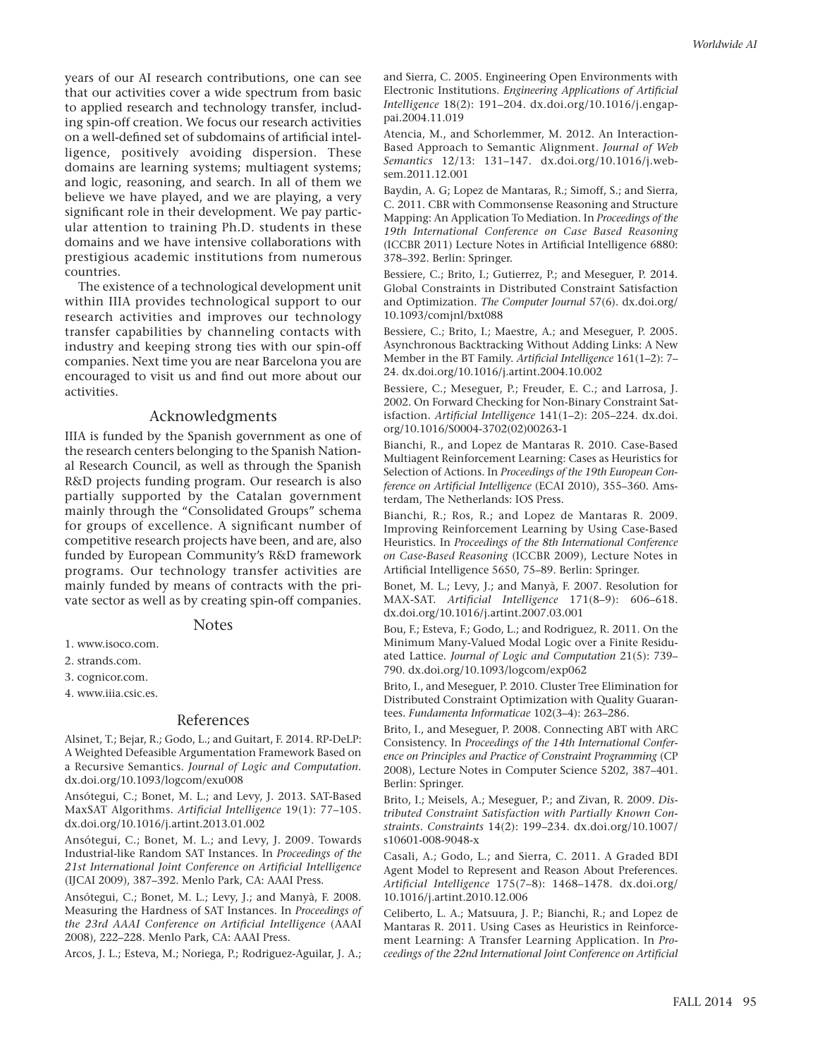years of our AI research contributions, one can see that our activities cover a wide spectrum from basic to applied research and technology transfer, including spin-off creation. We focus our research activities on a well-defined set of subdomains of artificial intelligence, positively avoiding dispersion. These domains are learning systems; multiagent systems; and logic, reasoning, and search. In all of them we believe we have played, and we are playing, a very significant role in their development. We pay particular attention to training Ph.D. students in these domains and we have intensive collaborations with prestigious academic institutions from numerous countries.

The existence of a technological development unit within IIIA provides technological support to our research activities and improves our technology transfer capabilities by channeling contacts with industry and keeping strong ties with our spin-off companies. Next time you are near Barcelona you are encouraged to visit us and find out more about our activities.

#### Acknowledgments

IIIA is funded by the Spanish government as one of the research centers belonging to the Spanish National Research Council, as well as through the Spanish R&D projects funding program. Our research is also partially supported by the Catalan government mainly through the "Consolidated Groups" schema for groups of excellence. A significant number of competitive research projects have been, and are, also funded by European Community's R&D framework programs. Our technology transfer activities are mainly funded by means of contracts with the private sector as well as by creating spin-off companies.

#### **Notes**

1. www.isoco.com.

2. strands.com.

3. cognicor.com.

4. www.iiia.csic.es.

#### References

Alsinet, T.; Bejar, R.; Godo, L.; and Guitart, F. 2014. RP-DeLP: A Weighted Defeasible Argumentation Framework Based on a Recursive Semantics. *Journal of Logic and Computation.* dx.doi.org/10.1093/logcom/exu008

Ansótegui, C.; Bonet, M. L.; and Levy, J. 2013. SAT-Based MaxSAT Algorithms. *Artificial Intelligence* 19(1): 77–105. dx.doi.org/10.1016/j.artint.2013.01.002

Ansótegui, C.; Bonet, M. L.; and Levy, J. 2009. Towards Industrial-like Random SAT Instances. In *Proceedings of the 21st International Joint Conference on Artificial Intelligence* (IJCAI 2009), 387–392. Menlo Park, CA: AAAI Press.

Ansótegui, C.; Bonet, M. L.; Levy, J.; and Manyà, F. 2008. Measuring the Hardness of SAT Instances. In *Proceedings of the 23rd AAAI Conference on Artificial Intelligence* (AAAI 2008), 222–228. Menlo Park, CA: AAAI Press.

Arcos, J. L.; Esteva, M.; Noriega, P.; Rodriguez-Aguilar, J. A.;

and Sierra, C. 2005. Engineering Open Environments with Electronic Institutions. *Engineering Applications of Artificial Intelligence* 18(2): 191–204. dx.doi.org/10.1016/j.engappai.2004.11.019

Atencia, M., and Schorlemmer, M. 2012. An Interaction-Based Approach to Semantic Alignment. *Journal of Web Semantics* 12/13: 131–147. dx.doi.org/10.1016/j.websem.2011.12.001

Baydin, A. G; Lopez de Mantaras, R.; Simoff, S.; and Sierra, C. 2011. CBR with Commonsense Reasoning and Structure Mapping: An Application To Mediation. In *Proceedings of the 19th International Conference on Case Based Reasoning* (ICCBR 2011) Lecture Notes in Artificial Intelligence 6880: 378–392. Berlin: Springer.

Bessiere, C.; Brito, I.; Gutierrez, P.; and Meseguer, P. 2014. Global Constraints in Distributed Constraint Satisfaction and Optimization. *The Computer Journal* 57(6). dx.doi.org/ 10.1093/comjnl/bxt088

Bessiere, C.; Brito, I.; Maestre, A.; and Meseguer, P. 2005. Asynchronous Backtracking Without Adding Links: A New Member in the BT Family. *Artificial Intelligence* 161(1–2): 7– 24. dx.doi.org/10.1016/j.artint.2004.10.002

Bessiere, C.; Meseguer, P.; Freuder, E. C.; and Larrosa, J. 2002. On Forward Checking for Non-Binary Constraint Satisfaction. *Artificial Intelligence* 141(1–2): 205–224. dx.doi. org/10.1016/S0004-3702(02)00263-1

Bianchi, R., and Lopez de Mantaras R. 2010. Case-Based Multiagent Reinforcement Learning: Cases as Heuristics for Selection of Actions. In *Proceedings of the 19th European Conference on Artificial Intelligence* (ECAI 2010), 355–360. Amsterdam, The Netherlands: IOS Press.

Bianchi, R.; Ros, R.; and Lopez de Mantaras R. 2009. Improving Reinforcement Learning by Using Case-Based Heuristics. In *Proceedings of the 8th International Conference on Case-Based Reasoning* (ICCBR 2009), Lecture Notes in Artificial Intelligence 5650, 75–89. Berlin: Springer.

Bonet, M. L.; Levy, J.; and Manyà, F. 2007. Resolution for MAX-SAT. *Artificial Intelligence* 171(8–9): 606–618. dx.doi.org/10.1016/j.artint.2007.03.001

Bou, F.; Esteva, F.; Godo, L.; and Rodriguez, R. 2011. On the Minimum Many-Valued Modal Logic over a Finite Residuated Lattice. *Journal of Logic and Computation* 21(5): 739– 790. dx.doi.org/10.1093/logcom/exp062

Brito, I., and Meseguer, P. 2010. Cluster Tree Elimination for Distributed Constraint Optimization with Quality Guarantees. *Fundamenta Informaticae* 102(3–4): 263–286.

Brito, I., and Meseguer, P. 2008. Connecting ABT with ARC Consistency. In *Proceedings of the 14th International Conference on Principles and Practice of Constraint Programming* (CP 2008), Lecture Notes in Computer Science 5202, 387–401. Berlin: Springer.

Brito, I.; Meisels, A.; Meseguer, P.; and Zivan, R. 2009. *Distributed Constraint Satisfaction with Partially Known Constraints. Constraints* 14(2): 199–234. dx.doi.org/10.1007/ s10601-008-9048-x

Casali, A.; Godo, L.; and Sierra, C. 2011. A Graded BDI Agent Model to Represent and Reason About Preferences. *Artificial Intelligence* 175(7–8): 1468–1478. dx.doi.org/ 10.1016/j.artint.2010.12.006

Celiberto, L. A.; Matsuura, J. P.; Bianchi, R.; and Lopez de Mantaras R. 2011. Using Cases as Heuristics in Reinforcement Learning: A Transfer Learning Application. In *Proceedings of the 22nd International Joint Conference on Artificial*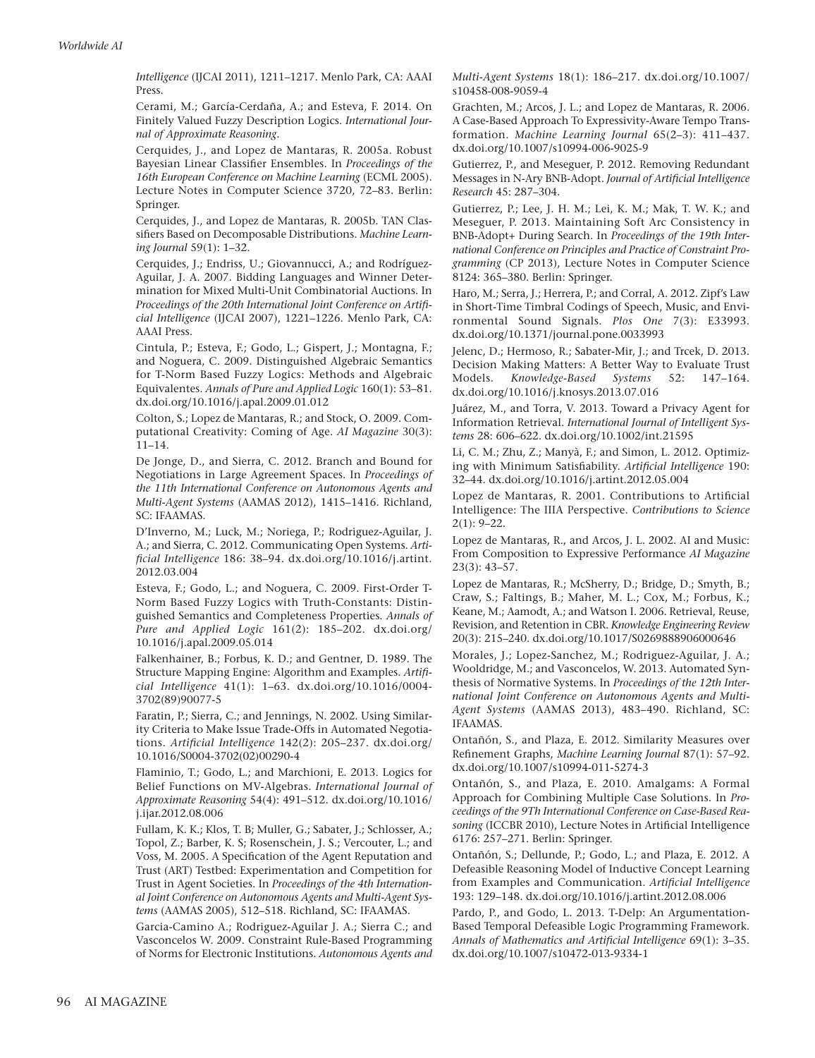*Intelligence* (IJCAI 2011), 1211–1217. Menlo Park, CA: AAAI Press.

Cerami, M.; García-Cerdaña, A.; and Esteva, F. 2014. On Finitely Valued Fuzzy Description Logics. *International Journal of Approximate Reasoning.*

Cerquides, J., and Lopez de Mantaras, R. 2005a. Robust Bayesian Linear Classifier Ensembles. In *Proceedings of the 16th European Conference on Machine Learning* (ECML 2005). Lecture Notes in Computer Science 3720, 72–83. Berlin: Springer.

Cerquides, J., and Lopez de Mantaras, R. 2005b. TAN Classifiers Based on Decomposable Distributions. *Machine Learning Journal* 59(1): 1–32.

Cerquides, J.; Endriss, U.; Giovannucci, A.; and Rodríguez-Aguilar, J. A. 2007. Bidding Languages and Winner Determination for Mixed Multi-Unit Combinatorial Auctions. In *Proceedings of the 20th International Joint Conference on Artificial Intelligence* (IJCAI 2007), 1221–1226. Menlo Park, CA: AAAI Press.

Cintula, P.; Esteva, F.; Godo, L.; Gispert, J.; Montagna, F.; and Noguera, C. 2009. Distinguished Algebraic Semantics for T-Norm Based Fuzzy Logics: Methods and Algebraic Equivalentes. *Annals of Pure and Applied Logic* 160(1): 53–81. dx.doi.org/10.1016/j.apal.2009.01.012

Colton, S.; Lopez de Mantaras, R.; and Stock, O. 2009. Computational Creativity: Coming of Age. *AI Magazine* 30(3): 11–14.

De Jonge, D., and Sierra, C. 2012. Branch and Bound for Negotiations in Large Agreement Spaces. In *Proceedings of the 11th International Conference on Autonomous Agents and Multi-Agent Systems* (AAMAS 2012), 1415–1416. Richland, SC: IFAAMAS.

D'Inverno, M.; Luck, M.; Noriega, P.; Rodriguez-Aguilar, J. A.; and Sierra, C. 2012. Communicating Open Systems. *Artificial Intelligence* 186: 38–94. dx.doi.org/10.1016/j.artint. 2012.03.004

Esteva, F.; Godo, L.; and Noguera, C. 2009. First-Order T-Norm Based Fuzzy Logics with Truth-Constants: Distinguished Semantics and Completeness Properties. *Annals of Pure and Applied Logic* 161(2): 185–202. dx.doi.org/ 10.1016/j.apal.2009.05.014

Falkenhainer, B.; Forbus, K. D.; and Gentner, D. 1989. The Structure Mapping Engine: Algorithm and Examples. *Artificial Intelligence* 41(1): 1–63. dx.doi.org/10.1016/0004- 3702(89)90077-5

Faratin, P.; Sierra, C.; and Jennings, N. 2002. Using Similarity Criteria to Make Issue Trade-Offs in Automated Negotiations. *Artificial Intelligence* 142(2): 205–237. dx.doi.org/ 10.1016/S0004-3702(02)00290-4

Flaminio, T.; Godo, L.; and Marchioni, E. 2013. Logics for Belief Functions on MV-Algebras. *International Journal of Approximate Reasoning* 54(4): 491–512. dx.doi.org/10.1016/ j.ijar.2012.08.006

Fullam, K. K.; Klos, T. B; Muller, G.; Sabater, J.; Schlosser, A.; Topol, Z.; Barber, K. S; Rosenschein, J. S.; Vercouter, L.; and Voss, M. 2005. A Specification of the Agent Reputation and Trust (ART) Testbed: Experimentation and Competition for Trust in Agent Societies. In *Proceedings of the 4th International Joint Conference on Autonomous Agents and Multi-Agent Systems* (AAMAS 2005), 512–518. Richland, SC: IFAAMAS.

Garcia-Camino A.; Rodriguez-Aguilar J. A.; Sierra C.; and Vasconcelos W. 2009. Constraint Rule-Based Programming of Norms for Electronic Institutions. *Autonomous Agents and* *Multi-Agent Systems* 18(1): 186–217. dx.doi.org/10.1007/ s10458-008-9059-4

Grachten, M.; Arcos, J. L.; and Lopez de Mantaras, R. 2006. A Case-Based Approach To Expressivity-Aware Tempo Transformation. *Machine Learning Journal* 65(2–3): 411–437. dx.doi.org/10.1007/s10994-006-9025-9

Gutierrez, P., and Meseguer, P. 2012. Removing Redundant Messages in N-Ary BNB-Adopt. *Journal of Artificial Intelligence Research* 45: 287–304.

Gutierrez, P.; Lee, J. H. M.; Lei, K. M.; Mak, T. W. K.; and Meseguer, P. 2013. Maintaining Soft Arc Consistency in BNB-Adopt+ During Search. In *Proceedings of the 19th International Conference on Principles and Practice of Constraint Programming* (CP 2013), Lecture Notes in Computer Science 8124: 365–380. Berlin: Springer.

Haro, M.; Serra, J.; Herrera, P.; and Corral, A. 2012. Zipf's Law in Short-Time Timbral Codings of Speech, Music, and Environmental Sound Signals. *Plos One* 7(3): E33993. dx.doi.org/10.1371/journal.pone.0033993

Jelenc, D.; Hermoso, R.; Sabater-Mir, J.; and Trcek, D. 2013. Decision Making Matters: A Better Way to Evaluate Trust Models. *Knowledge-Based Systems* 52: 147–164. dx.doi.org/10.1016/j.knosys.2013.07.016

Juárez, M., and Torra, V. 2013. Toward a Privacy Agent for Information Retrieval. *International Journal of Intelligent Systems* 28: 606–622. dx.doi.org/10.1002/int.21595

Li, C. M.; Zhu, Z.; Manyà, F.; and Simon, L. 2012. Optimizing with Minimum Satisfiability. *Artificial Intelligence* 190: 32–44. dx.doi.org/10.1016/j.artint.2012.05.004

Lopez de Mantaras, R. 2001. Contributions to Artificial Intelligence: The IIIA Perspective. *Contributions to Science*  $2(1): 9-22.$ 

Lopez de Mantaras, R., and Arcos, J. L. 2002. AI and Music: From Composition to Expressive Performance *AI Magazine* 23(3): 43–57.

Lopez de Mantaras, R.; McSherry, D.; Bridge, D.; Smyth, B.; Craw, S.; Faltings, B.; Maher, M. L.; Cox, M.; Forbus, K.; Keane, M.; Aamodt, A.; and Watson I. 2006. Retrieval, Reuse, Revision, and Retention in CBR. *Knowledge Engineering Review* 20(3): 215–240. dx.doi.org/10.1017/S0269888906000646

Morales, J.; Lopez-Sanchez, M.; Rodriguez-Aguilar, J. A.; Wooldridge, M.; and Vasconcelos, W. 2013. Automated Synthesis of Normative Systems. In *Proceedings of the 12th International Joint Conference on Autonomous Agents and Multi-Agent Systems* (AAMAS 2013), 483–490. Richland, SC: IFAAMAS.

Ontañón, S., and Plaza, E. 2012. Similarity Measures over Refinement Graphs, *Machine Learning Journal* 87(1): 57–92. dx.doi.org/10.1007/s10994-011-5274-3

Ontañón, S., and Plaza, E. 2010. Amalgams: A Formal Approach for Combining Multiple Case Solutions. In *Proceedings of the 9Th International Conference on Case-Based Reasoning* (ICCBR 2010), Lecture Notes in Artificial Intelligence 6176: 257–271. Berlin: Springer.

Ontañón, S.; Dellunde, P.; Godo, L.; and Plaza, E. 2012. A Defeasible Reasoning Model of Inductive Concept Learning from Examples and Communication. *Artificial Intelligence* 193: 129–148. dx.doi.org/10.1016/j.artint.2012.08.006

Pardo, P., and Godo, L. 2013. T-Delp: An Argumentation-Based Temporal Defeasible Logic Programming Framework. *Annals of Mathematics and Artificial Intelligence* 69(1): 3–35. dx.doi.org/10.1007/s10472-013-9334-1